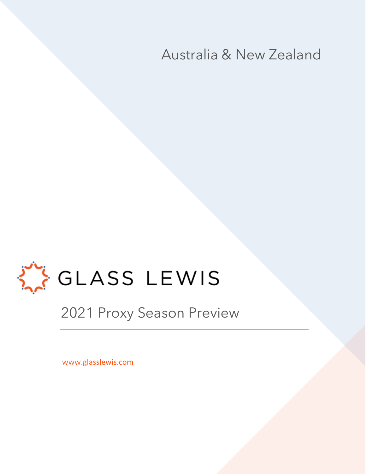Australia & New Zealand



2021 Proxy Season Preview

www.glasslewis.com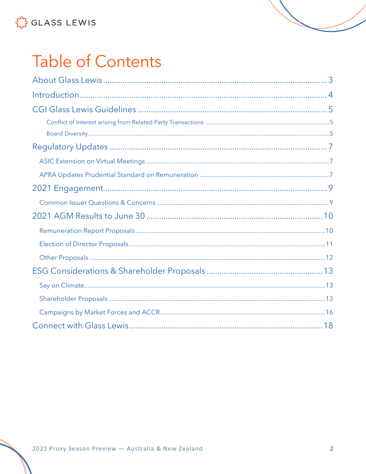# **Table of Contents**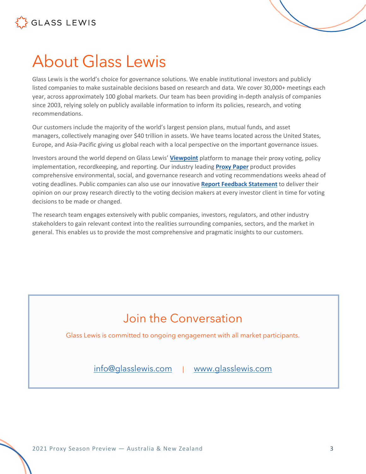



# <span id="page-2-0"></span>About Glass Lewis

Glass Lewis is the world's choice for governance solutions. We enable institutional investors and publicly listed companies to make sustainable decisions based on research and data. We cover 30,000+ meetings each year, across approximately 100 global markets. Our team has been providing in-depth analysis of companies since 2003, relying solely on publicly available information to inform its policies, research, and voting recommendations.

Our customers include the majority of the world's largest pension plans, mutual funds, and asset managers, collectively managing over \$40 trillion in assets. We have teams located across the United States, Europe, and Asia-Pacific giving us global reach with a local perspective on the important governance issues.

Investors around the world depend on Glass Lewis' **[Viewpoint](https://www.glasslewis.com/proxy-voting-2/)** platform to manage their proxy voting, policy implementation, recordkeeping, and reporting. Our industry leading **[Proxy Paper](https://www.glasslewis.com/proxy-research-3/)** product provides comprehensive environmental, social, and governance research and voting recommendations weeks ahead of voting deadlines. Public companies can also use our innovative **[Report Feedback Statement](https://www.glasslewis.com/report-feedback-statement/)** to deliver their opinion on our proxy research directly to the voting decision makers at every investor client in time for voting decisions to be made or changed.

The research team engages extensively with public companies, investors, regulators, and other industry stakeholders to gain relevant context into the realities surrounding companies, sectors, and the market in general. This enables us to provide the most comprehensive and pragmatic insights to our customers.

### Join the Conversation

Glass Lewis is committed to ongoing engagement with all market participants.

[info@glasslewis.com](mailto:info@glasslewis.com) | [www.glasslewis.com](http://www.glasslewis.com/)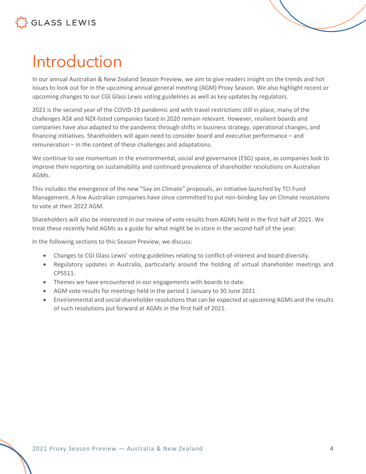# <span id="page-3-0"></span>Introduction

In our annual Australian & New Zealand Season Preview, we aim to give readers insight on the trends and hot issues to look out for in the upcoming annual general meeting (AGM) Proxy Season. We also highlight recent or upcoming changes to our CGI Glass Lewis voting guidelines as well as key updates by regulators.

2021 is the second year of the COVID-19 pandemic and with travel restrictions still in place, many of the challenges ASX and NZX-listed companies faced in 2020 remain relevant. However, resilient boards and companies have also adapted to the pandemic through shifts in business strategy, operational changes, and financing initiatives. Shareholders will again need to consider board and executive performance – and remuneration – in the context of these challenges and adaptations.

We continue to see momentum in the environmental, social and governance (ESG) space, as companies look to improve their reporting on sustainability and continued prevalence of shareholder resolutions on Australian AGMs.

This includes the emergence of the new "Say on Climate" proposals, an initiative launched by TCI Fund Management. A few Australian companies have since committed to put non-binding Say on Climate resolutions to vote at their 2022 AGM.

Shareholders will also be interested in our review of vote results from AGMs held in the first half of 2021. We treat these recently held AGMs as a guide for what might be in store in the second half of the year.

In the following sections to this Season Preview, we discuss:

- Changes to CGI Glass Lewis' voting guidelines relating to conflict-of-interest and board diversity.
- Regulatory updates in Australia, particularly around the holding of virtual shareholder meetings and CPS511.
- Themes we have encountered in our engagements with boards to date.
- AGM vote results for meetings held in the period 1 January to 30 June 2021.
- Environmental and social shareholder resolutions that can be expected at upcoming AGMs and the results of such resolutions put forward at AGMs in the first half of 2021.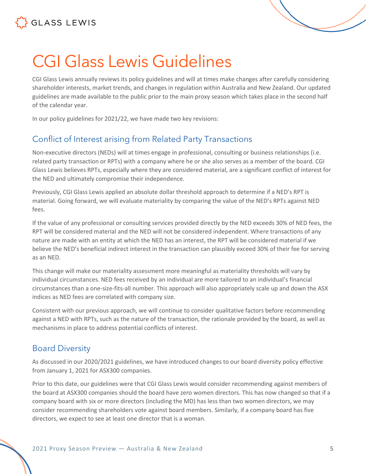

# <span id="page-4-0"></span>CGI Glass Lewis Guidelines

CGI Glass Lewis annually reviews its policy guidelines and will at times make changes after carefully considering shareholder interests, market trends, and changes in regulation within Australia and New Zealand. Our updated guidelines are made available to the public prior to the main proxy season which takes place in the second half of the calendar year.

In our policy guidelines for 2021/22, we have made two key revisions:

#### <span id="page-4-1"></span>Conflict of Interest arising from Related Party Transactions

Non-executive directors (NEDs) will at times engage in professional, consulting or business relationships (i.e. related party transaction or RPTs) with a company where he or she also serves as a member of the board. CGI Glass Lewis believes RPTs, especially where they are considered material, are a significant conflict of interest for the NED and ultimately compromise their independence.

Previously, CGI Glass Lewis applied an absolute dollar threshold approach to determine if a NED's RPT is material. Going forward, we will evaluate materiality by comparing the value of the NED's RPTs against NED fees.

If the value of any professional or consulting services provided directly by the NED exceeds 30% of NED fees, the RPT will be considered material and the NED will not be considered independent. Where transactions of any nature are made with an entity at which the NED has an interest, the RPT will be considered material if we believe the NED's beneficial indirect interest in the transaction can plausibly exceed 30% of their fee for serving as an NED.

This change will make our materiality assessment more meaningful as materiality thresholds will vary by individual circumstances. NED fees received by an individual are more tailored to an individual's financial circumstances than a one-size-fits-all number. This approach will also appropriately scale up and down the ASX indices as NED fees are correlated with company size.

Consistent with our previous approach, we will continue to consider qualitative factors before recommending against a NED with RPTs, such as the nature of the transaction, the rationale provided by the board, as well as mechanisms in place to address potential conflicts of interest.

#### <span id="page-4-2"></span>Board Diversity

As discussed in our 2020/2021 guidelines, we have introduced changes to our board diversity policy effective from January 1, 2021 for ASX300 companies.

Prior to this date, our guidelines were that CGI Glass Lewis would consider recommending against members of the board at ASX300 companies should the board have zero women directors. This has now changed so that if a company board with six or more directors (including the MD) has less than two women directors, we may consider recommending shareholders vote against board members. Similarly, if a company board has five directors, we expect to see at least one director that is a woman.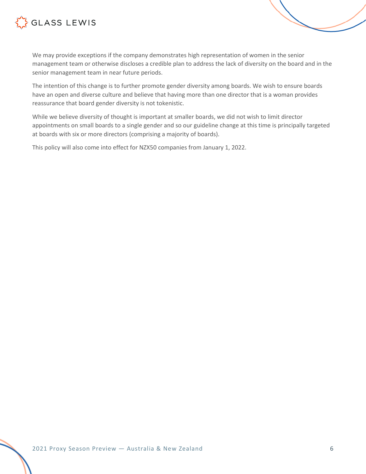

We may provide exceptions if the company demonstrates high representation of women in the senior management team or otherwise discloses a credible plan to address the lack of diversity on the board and in the senior management team in near future periods.

The intention of this change is to further promote gender diversity among boards. We wish to ensure boards have an open and diverse culture and believe that having more than one director that is a woman provides reassurance that board gender diversity is not tokenistic.

While we believe diversity of thought is important at smaller boards, we did not wish to limit director appointments on small boards to a single gender and so our guideline change at this time is principally targeted at boards with six or more directors (comprising a majority of boards).

This policy will also come into effect for NZX50 companies from January 1, 2022.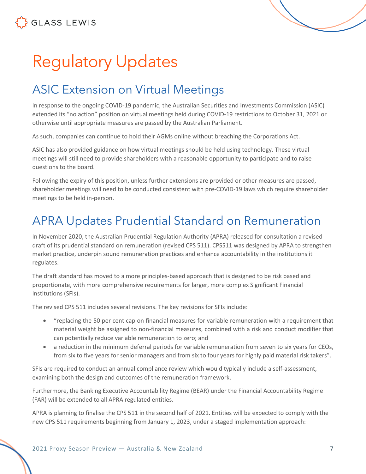# <span id="page-6-0"></span>Regulatory Updates

# <span id="page-6-1"></span>ASIC Extension on Virtual Meetings

In response to the ongoing COVID-19 pandemic, the Australian Securities and Investments Commission (ASIC) extended its "no action" position on virtual meetings held during COVID-19 restrictions to October 31, 2021 or otherwise until appropriate measures are passed by the Australian Parliament.

As such, companies can continue to hold their AGMs online without breaching the Corporations Act.

ASIC has also provided guidance on how virtual meetings should be held using technology. These virtual meetings will still need to provide shareholders with a reasonable opportunity to participate and to raise questions to the board.

Following the expiry of this position, unless further extensions are provided or other measures are passed, shareholder meetings will need to be conducted consistent with pre-COVID-19 laws which require shareholder meetings to be held in-person.

### <span id="page-6-2"></span>APRA Updates Prudential Standard on Remuneration

In November 2020, the Australian Prudential Regulation Authority (APRA) released for consultation a revised draft of its prudential standard on remuneration (revised CPS 511). CPS511 was designed by APRA to strengthen market practice, underpin sound remuneration practices and enhance accountability in the institutions it regulates.

The draft standard has moved to a more principles-based approach that is designed to be risk based and proportionate, with more comprehensive requirements for larger, more complex Significant Financial Institutions (SFIs).

The revised CPS 511 includes several revisions. The key revisions for SFIs include:

- "replacing the 50 per cent cap on financial measures for variable remuneration with a requirement that material weight be assigned to non-financial measures, combined with a risk and conduct modifier that can potentially reduce variable remuneration to zero; and
- a reduction in the minimum deferral periods for variable remuneration from seven to six years for CEOs, from six to five years for senior managers and from six to four years for highly paid material risk takers".

SFIs are required to conduct an annual compliance review which would typically include a self-assessment, examining both the design and outcomes of the remuneration framework.

Furthermore, the Banking Executive Accountability Regime (BEAR) under the Financial Accountability Regime (FAR) will be extended to all APRA regulated entities.

APRA is planning to finalise the CPS 511 in the second half of 2021. Entities will be expected to comply with the new CPS 511 requirements beginning from January 1, 2023, under a staged implementation approach: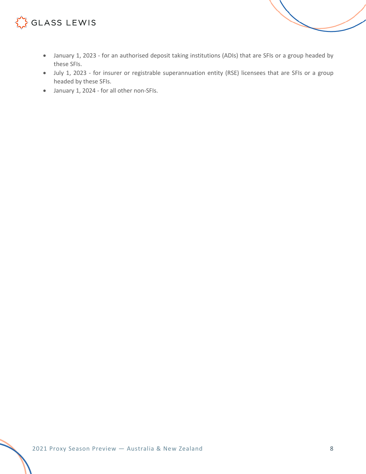- January 1, 2023 for an authorised deposit taking institutions (ADIs) that are SFIs or a group headed by these SFIs.
- July 1, 2023 for insurer or registrable superannuation entity (RSE) licensees that are SFIs or a group headed by these SFIs.
- January 1, 2024 for all other non-SFIs.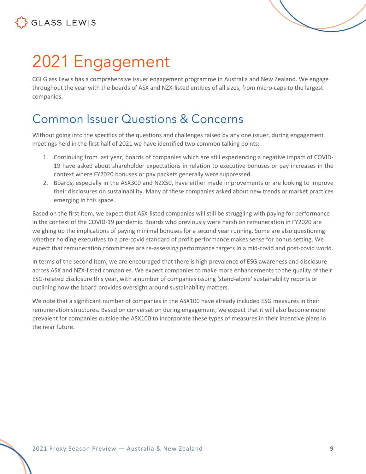

<span id="page-8-0"></span>

CGI Glass Lewis has a comprehensive issuer engagement programme in Australia and New Zealand. We engage throughout the year with the boards of ASX and NZX-listed entities of all sizes, from micro-caps to the largest companies.

### <span id="page-8-1"></span>Common Issuer Questions & Concerns

Without going into the specifics of the questions and challenges raised by any one issuer, during engagement meetings held in the first half of 2021 we have identified two common talking points:

- 1. Continuing from last year, boards of companies which are still experiencing a negative impact of COVID-19 have asked about shareholder expectations in relation to executive bonuses or pay increases in the context where FY2020 bonuses or pay packets generally were suppressed.
- 2. Boards, especially in the ASX300 and NZX50, have either made improvements or are looking to improve their disclosures on sustainability. Many of these companies asked about new trends or market practices emerging in this space.

Based on the first item, we expect that ASX-listed companies will still be struggling with paying for performance in the context of the COVID-19 pandemic. Boards who previously were harsh on remuneration in FY2020 are weighing up the implications of paying minimal bonuses for a second year running. Some are also questioning whether holding executives to a pre-covid standard of profit performance makes sense for bonus setting. We expect that remuneration committees are re-assessing performance targets in a mid-covid and post-covid world.

In terms of the second item, we are encouraged that there is high prevalence of ESG awareness and disclosure across ASX and NZX-listed companies. We expect companies to make more enhancements to the quality of their ESG-related disclosure this year, with a number of companies issuing 'stand-alone' sustainability reports or outlining how the board provides oversight around sustainability matters.

We note that a significant number of companies in the ASX100 have already included ESG measures in their remuneration structures. Based on conversation during engagement, we expect that it will also become more prevalent for companies outside the ASX100 to incorporate these types of measures in their incentive plans in the near future.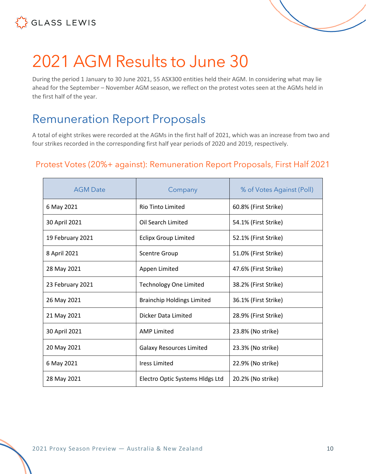



# <span id="page-9-0"></span>2021 AGM Results to June 30

During the period 1 January to 30 June 2021, 55 ASX300 entities held their AGM. In considering what may lie ahead for the September – November AGM season, we reflect on the protest votes seen at the AGMs held in the first half of the year.

# <span id="page-9-1"></span>Remuneration Report Proposals

A total of eight strikes were recorded at the AGMs in the first half of 2021, which was an increase from two and four strikes recorded in the corresponding first half year periods of 2020 and 2019, respectively.

#### Protest Votes (20%+ against): Remuneration Report Proposals, First Half 2021

| <b>AGM Date</b>  | Company                           | % of Votes Against (Poll) |
|------------------|-----------------------------------|---------------------------|
| 6 May 2021       | <b>Rio Tinto Limited</b>          | 60.8% (First Strike)      |
| 30 April 2021    | Oil Search Limited                | 54.1% (First Strike)      |
| 19 February 2021 | <b>Eclipx Group Limited</b>       | 52.1% (First Strike)      |
| 8 April 2021     | <b>Scentre Group</b>              | 51.0% (First Strike)      |
| 28 May 2021      | Appen Limited                     | 47.6% (First Strike)      |
| 23 February 2021 | <b>Technology One Limited</b>     | 38.2% (First Strike)      |
| 26 May 2021      | <b>Brainchip Holdings Limited</b> | 36.1% (First Strike)      |
| 21 May 2021      | Dicker Data Limited               | 28.9% (First Strike)      |
| 30 April 2021    | <b>AMP Limited</b>                | 23.8% (No strike)         |
| 20 May 2021      | <b>Galaxy Resources Limited</b>   | 23.3% (No strike)         |
| 6 May 2021       | <b>Iress Limited</b>              | 22.9% (No strike)         |
| 28 May 2021      | Electro Optic Systems Hidgs Ltd   | 20.2% (No strike)         |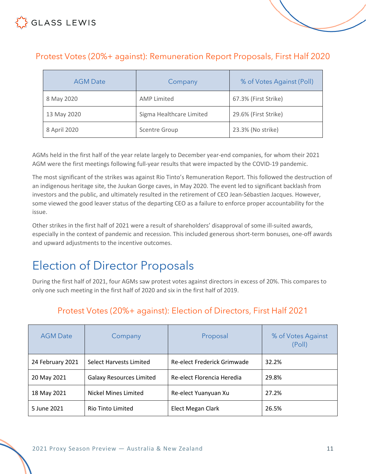### Protest Votes (20%+ against): Remuneration Report Proposals, First Half 2020

| <b>AGM Date</b> | Company                  | % of Votes Against (Poll) |
|-----------------|--------------------------|---------------------------|
| 8 May 2020      | <b>AMP Limited</b>       | 67.3% (First Strike)      |
| 13 May 2020     | Sigma Healthcare Limited | 29.6% (First Strike)      |
| 8 April 2020    | <b>Scentre Group</b>     | 23.3% (No strike)         |

AGMs held in the first half of the year relate largely to December year-end companies, for whom their 2021 AGM were the first meetings following full-year results that were impacted by the COVID-19 pandemic.

The most significant of the strikes was against Rio Tinto's Remuneration Report. This followed the destruction of an indigenous heritage site, the Juukan Gorge caves, in May 2020. The event led to significant backlash from investors and the public, and ultimately resulted in the retirement of CEO Jean-Sébastien Jacques. However, some viewed the good leaver status of the departing CEO as a failure to enforce proper accountability for the issue.

Other strikes in the first half of 2021 were a result of shareholders' disapproval of some ill-suited awards, especially in the context of pandemic and recession. This included generous short-term bonuses, one-off awards and upward adjustments to the incentive outcomes.

# <span id="page-10-0"></span>Election of Director Proposals

During the first half of 2021, four AGMs saw protest votes against directors in excess of 20%. This compares to only one such meeting in the first half of 2020 and six in the first half of 2019.

| <b>AGM Date</b>  | Company                         | Proposal                    | % of Votes Against<br>(Poll) |
|------------------|---------------------------------|-----------------------------|------------------------------|
| 24 February 2021 | Select Harvests Limited         | Re-elect Frederick Grimwade | 32.2%                        |
| 20 May 2021      | <b>Galaxy Resources Limited</b> | Re-elect Florencia Heredia  | 29.8%                        |
| 18 May 2021      | Nickel Mines Limited            | Re-elect Yuanyuan Xu        | 27.2%                        |
| 5 June 2021      | <b>Rio Tinto Limited</b>        | Elect Megan Clark           | 26.5%                        |

#### Protest Votes (20%+ against): Election of Directors, First Half 2021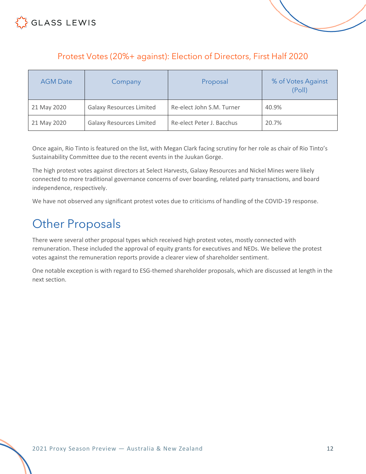



| <b>AGM Date</b> | Company                         | Proposal                  | % of Votes Against<br>(Poll) |
|-----------------|---------------------------------|---------------------------|------------------------------|
| 21 May 2020     | <b>Galaxy Resources Limited</b> | Re-elect John S.M. Turner | 40.9%                        |
| 21 May 2020     | <b>Galaxy Resources Limited</b> | Re-elect Peter J. Bacchus | 20.7%                        |

Once again, Rio Tinto is featured on the list, with Megan Clark facing scrutiny for her role as chair of Rio Tinto's Sustainability Committee due to the recent events in the Juukan Gorge.

The high protest votes against directors at Select Harvests, Galaxy Resources and Nickel Mines were likely connected to more traditional governance concerns of over boarding, related party transactions, and board independence, respectively.

We have not observed any significant protest votes due to criticisms of handling of the COVID-19 response.

### <span id="page-11-0"></span>Other Proposals

There were several other proposal types which received high protest votes, mostly connected with remuneration. These included the approval of equity grants for executives and NEDs. We believe the protest votes against the remuneration reports provide a clearer view of shareholder sentiment.

One notable exception is with regard to ESG-themed shareholder proposals, which are discussed at length in the next section.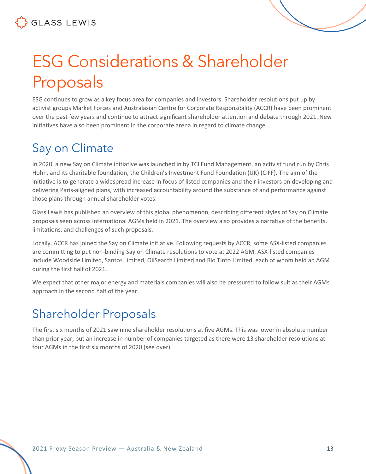# <span id="page-12-0"></span>ESG Considerations & Shareholder Proposals

ESG continues to grow as a key focus area for companies and investors. Shareholder resolutions put up by activist groups Market Forces and Australasian Centre for Corporate Responsibility (ACCR) have been prominent over the past few years and continue to attract significant shareholder attention and debate through 2021. New initiatives have also been prominent in the corporate arena in regard to climate change.

# <span id="page-12-1"></span>Say on Climate

In 2020, a new Say on Climate initiative was launched in by TCI Fund Management, an activist fund run by Chris Hohn, and its charitable foundation, the Children's Investment Fund Foundation (UK) (CIFF). The aim of the initiative is to generate a widespread increase in focus of listed companies and their investors on developing and delivering Paris-aligned plans, with increased accountability around the substance of and performance against those plans through annual shareholder votes.

Glass Lewis has published an overview of this global phenomenon, describing different styles of Say on Climate proposals seen across international AGMs held in 2021. The overview also provides a narrative of the benefits, limitations, and challenges of such proposals.

Locally, ACCR has joined the Say on Climate initiative. Following requests by ACCR, some ASX-listed companies are committing to put non-binding Say on Climate resolutions to vote at 2022 AGM. ASX-listed companies include Woodside Limited, Santos Limited, OilSearch Limited and Rio Tinto Limited, each of whom held an AGM during the first half of 2021.

We expect that other major energy and materials companies will also be pressured to follow suit as their AGMs approach in the second half of the year.

# <span id="page-12-2"></span>Shareholder Proposals

The first six months of 2021 saw nine shareholder resolutions at five AGMs. This was lower in absolute number than prior year, but an increase in number of companies targeted as there were 13 shareholder resolutions at four AGMs in the first six months of 2020 (see over).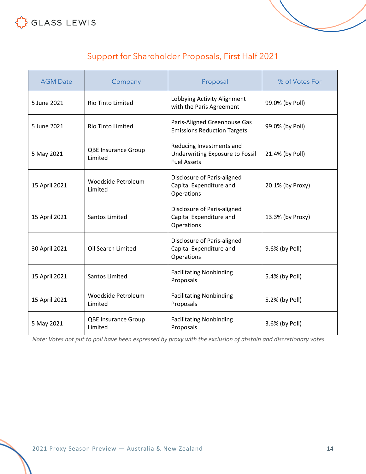#### Support for Shareholder Proposals, First Half 2021

| <b>AGM Date</b> | Company                               | Proposal                                                                          | % of Votes For   |
|-----------------|---------------------------------------|-----------------------------------------------------------------------------------|------------------|
| 5 June 2021     | Rio Tinto Limited                     | Lobbying Activity Alignment<br>with the Paris Agreement                           | 99.0% (by Poll)  |
| 5 June 2021     | <b>Rio Tinto Limited</b>              | Paris-Aligned Greenhouse Gas<br><b>Emissions Reduction Targets</b>                | 99.0% (by Poll)  |
| 5 May 2021      | <b>QBE Insurance Group</b><br>Limited | Reducing Investments and<br>Underwriting Exposure to Fossil<br><b>Fuel Assets</b> | 21.4% (by Poll)  |
| 15 April 2021   | Woodside Petroleum<br>Limited         | Disclosure of Paris-aligned<br>Capital Expenditure and<br>Operations              | 20.1% (by Proxy) |
| 15 April 2021   | <b>Santos Limited</b>                 | Disclosure of Paris-aligned<br>Capital Expenditure and<br>Operations              | 13.3% (by Proxy) |
| 30 April 2021   | Oil Search Limited                    | Disclosure of Paris-aligned<br>Capital Expenditure and<br>Operations              | 9.6% (by Poll)   |
| 15 April 2021   | Santos Limited                        | <b>Facilitating Nonbinding</b><br>Proposals                                       | 5.4% (by Poll)   |
| 15 April 2021   | Woodside Petroleum<br>Limited         | <b>Facilitating Nonbinding</b><br>Proposals                                       | 5.2% (by Poll)   |
| 5 May 2021      | <b>QBE Insurance Group</b><br>Limited | <b>Facilitating Nonbinding</b><br>Proposals                                       | 3.6% (by Poll)   |

*Note: Votes not put to poll have been expressed by proxy with the exclusion of abstain and discretionary votes.*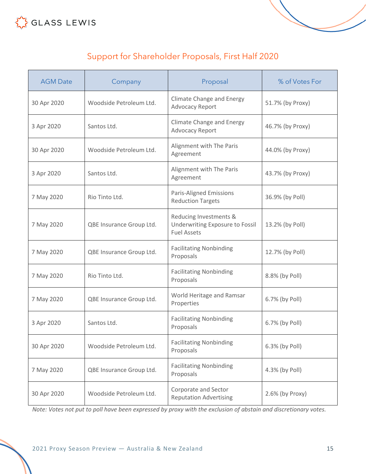



| <b>AGM Date</b> | Company                  | Proposal                                                                        | % of Votes For   |
|-----------------|--------------------------|---------------------------------------------------------------------------------|------------------|
| 30 Apr 2020     | Woodside Petroleum Ltd.  | <b>Climate Change and Energy</b><br>Advocacy Report                             | 51.7% (by Proxy) |
| 3 Apr 2020      | Santos Ltd.              | <b>Climate Change and Energy</b><br><b>Advocacy Report</b>                      | 46.7% (by Proxy) |
| 30 Apr 2020     | Woodside Petroleum Ltd.  | Alignment with The Paris<br>Agreement                                           | 44.0% (by Proxy) |
| 3 Apr 2020      | Santos Ltd.              | Alignment with The Paris<br>Agreement                                           | 43.7% (by Proxy) |
| 7 May 2020      | Rio Tinto Ltd.           | <b>Paris-Aligned Emissions</b><br><b>Reduction Targets</b>                      | 36.9% (by Poll)  |
| 7 May 2020      | QBE Insurance Group Ltd. | Reducing Investments &<br>Underwriting Exposure to Fossil<br><b>Fuel Assets</b> | 13.2% (by Poll)  |
| 7 May 2020      | QBE Insurance Group Ltd. | <b>Facilitating Nonbinding</b><br>Proposals                                     | 12.7% (by Poll)  |
| 7 May 2020      | Rio Tinto Ltd.           | <b>Facilitating Nonbinding</b><br>Proposals                                     | 8.8% (by Poll)   |
| 7 May 2020      | QBE Insurance Group Ltd. | World Heritage and Ramsar<br>Properties                                         | 6.7% (by Poll)   |
| 3 Apr 2020      | Santos Ltd.              | <b>Facilitating Nonbinding</b><br>Proposals                                     | 6.7% (by Poll)   |
| 30 Apr 2020     | Woodside Petroleum Ltd.  | <b>Facilitating Nonbinding</b><br>Proposals                                     | 6.3% (by Poll)   |
| 7 May 2020      | QBE Insurance Group Ltd. | <b>Facilitating Nonbinding</b><br>Proposals                                     | 4.3% (by Poll)   |
| 30 Apr 2020     | Woodside Petroleum Ltd.  | Corporate and Sector<br><b>Reputation Advertising</b>                           | 2.6% (by Proxy)  |

*Note: Votes not put to poll have been expressed by proxy with the exclusion of abstain and discretionary votes.*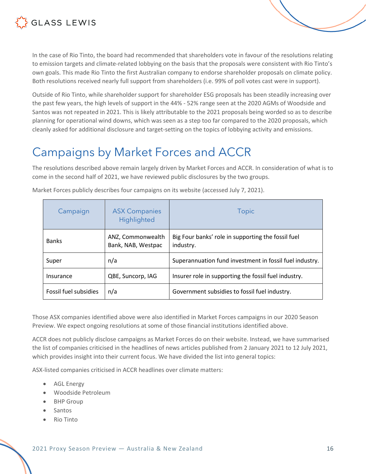

In the case of Rio Tinto, the board had recommended that shareholders vote in favour of the resolutions relating to emission targets and climate-related lobbying on the basis that the proposals were consistent with Rio Tinto's own goals. This made Rio Tinto the first Australian company to endorse shareholder proposals on climate policy. Both resolutions received nearly full support from shareholders (i.e. 99% of poll votes cast were in support).

Outside of Rio Tinto, while shareholder support for shareholder ESG proposals has been steadily increasing over the past few years, the high levels of support in the 44% - 52% range seen at the 2020 AGMs of Woodside and Santos was not repeated in 2021. This is likely attributable to the 2021 proposals being worded so as to describe planning for operational wind downs, which was seen as a step too far compared to the 2020 proposals, which cleanly asked for additional disclosure and target-setting on the topics of lobbying activity and emissions.

### <span id="page-15-0"></span>Campaigns by Market Forces and ACCR

The resolutions described above remain largely driven by Market Forces and ACCR. In consideration of what is to come in the second half of 2021, we have reviewed public disclosures by the two groups.

| Campaign              | <b>ASX Companies</b><br>Highlighted     | <b>Topic</b>                                                    |
|-----------------------|-----------------------------------------|-----------------------------------------------------------------|
| <b>Banks</b>          | ANZ, Commonwealth<br>Bank, NAB, Westpac | Big Four banks' role in supporting the fossil fuel<br>industry. |
| Super                 | n/a                                     | Superannuation fund investment in fossil fuel industry.         |
| Insurance             | QBE, Suncorp, IAG                       | Insurer role in supporting the fossil fuel industry.            |
| Fossil fuel subsidies | n/a                                     | Government subsidies to fossil fuel industry.                   |

Market Forces publicly describes four campaigns on its website (accessed July 7, 2021).

Those ASX companies identified above were also identified in Market Forces campaigns in our 2020 Season Preview. We expect ongoing resolutions at some of those financial institutions identified above.

ACCR does not publicly disclose campaigns as Market Forces do on their website. Instead, we have summarised the list of companies criticised in the headlines of news articles published from 2 January 2021 to 12 July 2021, which provides insight into their current focus. We have divided the list into general topics:

ASX-listed companies criticised in ACCR headlines over climate matters:

- AGL Energy
- Woodside Petroleum
- BHP Group
- Santos
- Rio Tinto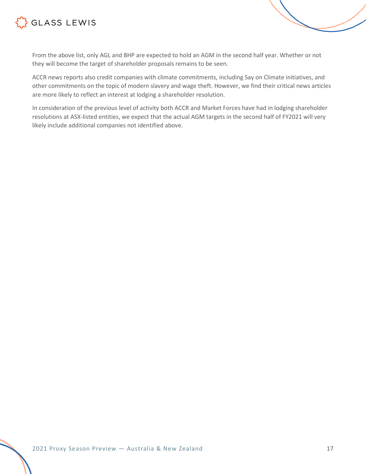



ACCR news reports also credit companies with climate commitments, including Say on Climate initiatives, and other commitments on the topic of modern slavery and wage theft. However, we find their critical news articles are more likely to reflect an interest at lodging a shareholder resolution.

In consideration of the previous level of activity both ACCR and Market Forces have had in lodging shareholder resolutions at ASX-listed entities, we expect that the actual AGM targets in the second half of FY2021 will very likely include additional companies not identified above.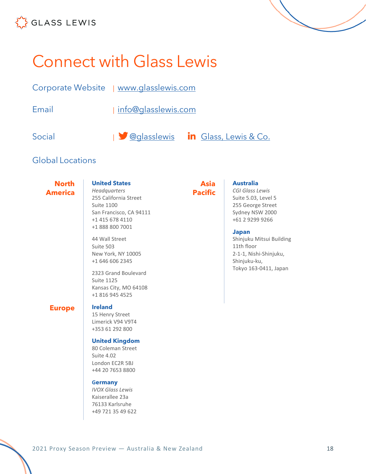

<span id="page-17-0"></span>

| Corporate Website   www.glasslewis.com |                     |                                                   |
|----------------------------------------|---------------------|---------------------------------------------------|
| Email                                  | info@glasslewis.com |                                                   |
| Social                                 |                     | <b>1</b> @glasslewis <b>in</b> Glass, Lewis & Co. |

#### Global Locations

**North America**

**United States** *Headquarters*

255 California Street Suite 1100 San Francisco, CA 94111 +1 415 678 4110 +1 888 800 7001

44 Wall Street Suite 503 New York, NY 10005 +1 646 606 2345

2323 Grand Boulevard Suite 1125 Kansas City, MO 64108 +1 816 945 4525

#### **Europe Ireland**

15 Henry Street Limerick V94 V9T4 +353 61 292 800

#### **United Kingdom**

80 Coleman Street Suite 4.02 London EC2R 5BJ +44 20 7653 8800

#### **Germany**

*IVOX Glass Lewis* Kaiserallee 23a 76133 Karlsruhe +49 721 35 49 622

#### **Asia Pacific**

#### **Australia**

*CGI Glass Lewis* Suite 5.03, Level 5 255 George Street Sydney NSW 2000 +61 2 9299 9266

#### **Japan**

Shinjuku Mitsui Building 11th floor 2-1-1, Nishi-Shinjuku, Shinjuku-ku, Tokyo 163-0411, Japan